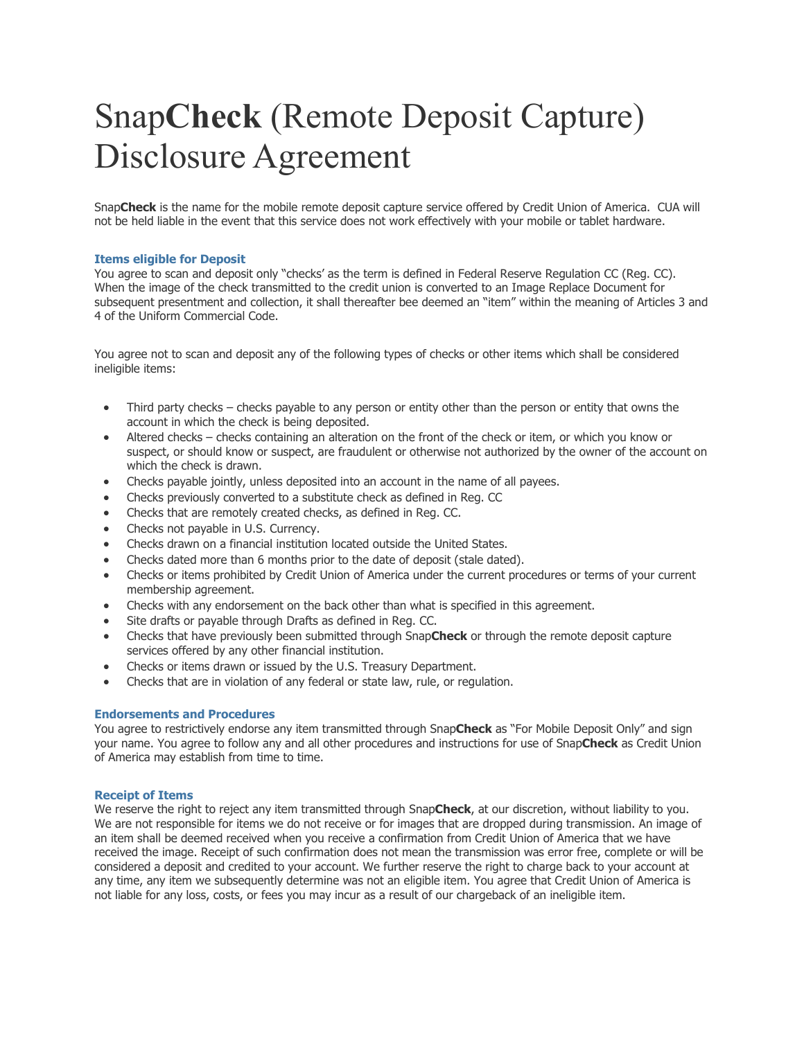# Snap**Check** (Remote Deposit Capture) Disclosure Agreement

Snap**Check** is the name for the mobile remote deposit capture service offered by Credit Union of America. CUA will not be held liable in the event that this service does not work effectively with your mobile or tablet hardware.

#### **Items eligible for Deposit**

You agree to scan and deposit only "checks' as the term is defined in Federal Reserve Regulation CC (Reg. CC). When the image of the check transmitted to the credit union is converted to an Image Replace Document for subsequent presentment and collection, it shall thereafter bee deemed an "item" within the meaning of Articles 3 and 4 of the Uniform Commercial Code.

You agree not to scan and deposit any of the following types of checks or other items which shall be considered ineligible items:

- Third party checks checks payable to any person or entity other than the person or entity that owns the account in which the check is being deposited.
- Altered checks checks containing an alteration on the front of the check or item, or which you know or suspect, or should know or suspect, are fraudulent or otherwise not authorized by the owner of the account on which the check is drawn.
- Checks payable jointly, unless deposited into an account in the name of all payees.
- Checks previously converted to a substitute check as defined in Reg. CC
- Checks that are remotely created checks, as defined in Reg. CC.
- Checks not payable in U.S. Currency.
- Checks drawn on a financial institution located outside the United States.
- Checks dated more than 6 months prior to the date of deposit (stale dated).
- Checks or items prohibited by Credit Union of America under the current procedures or terms of your current membership agreement.
- Checks with any endorsement on the back other than what is specified in this agreement.
- Site drafts or payable through Drafts as defined in Reg. CC.
- Checks that have previously been submitted through Snap**Check** or through the remote deposit capture services offered by any other financial institution.
- Checks or items drawn or issued by the U.S. Treasury Department.
- Checks that are in violation of any federal or state law, rule, or regulation.

## **Endorsements and Procedures**

You agree to restrictively endorse any item transmitted through Snap**Check** as "For Mobile Deposit Only" and sign your name. You agree to follow any and all other procedures and instructions for use of Snap**Check** as Credit Union of America may establish from time to time.

## **Receipt of Items**

We reserve the right to reject any item transmitted through Snap**Check**, at our discretion, without liability to you. We are not responsible for items we do not receive or for images that are dropped during transmission. An image of an item shall be deemed received when you receive a confirmation from Credit Union of America that we have received the image. Receipt of such confirmation does not mean the transmission was error free, complete or will be considered a deposit and credited to your account. We further reserve the right to charge back to your account at any time, any item we subsequently determine was not an eligible item. You agree that Credit Union of America is not liable for any loss, costs, or fees you may incur as a result of our chargeback of an ineligible item.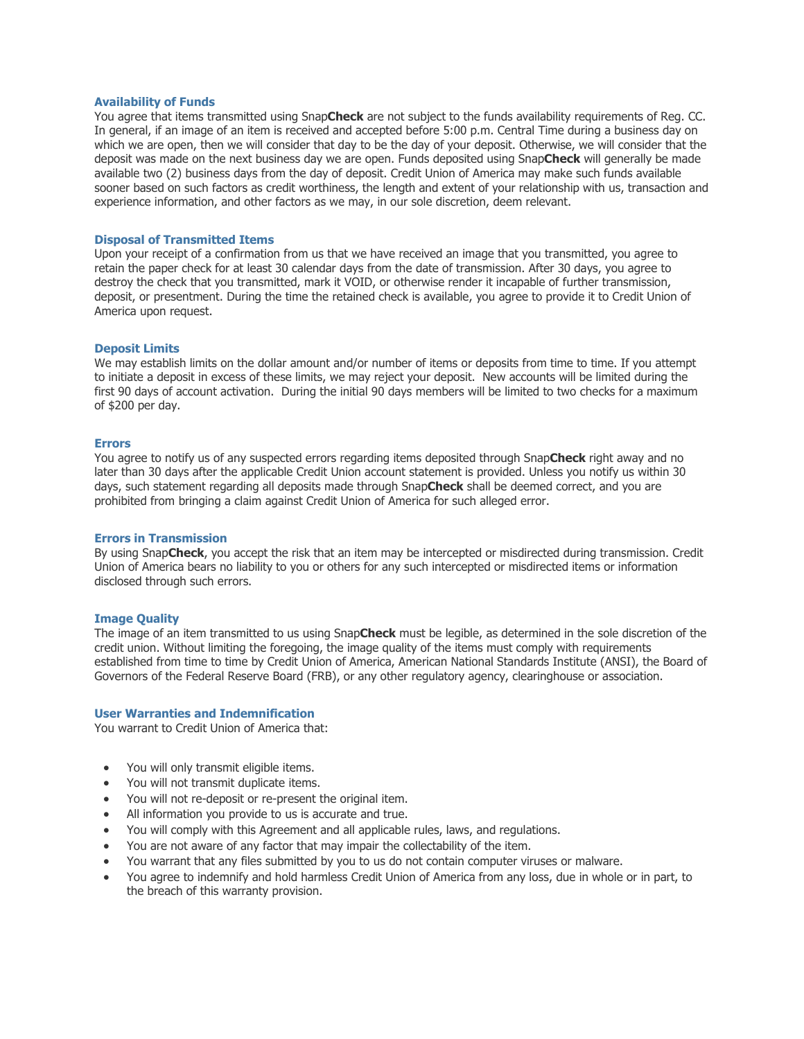#### **Availability of Funds**

You agree that items transmitted using Snap**Check** are not subject to the funds availability requirements of Reg. CC. In general, if an image of an item is received and accepted before 5:00 p.m. Central Time during a business day on which we are open, then we will consider that day to be the day of your deposit. Otherwise, we will consider that the deposit was made on the next business day we are open. Funds deposited using Snap**Check** will generally be made available two (2) business days from the day of deposit. Credit Union of America may make such funds available sooner based on such factors as credit worthiness, the length and extent of your relationship with us, transaction and experience information, and other factors as we may, in our sole discretion, deem relevant.

#### **Disposal of Transmitted Items**

Upon your receipt of a confirmation from us that we have received an image that you transmitted, you agree to retain the paper check for at least 30 calendar days from the date of transmission. After 30 days, you agree to destroy the check that you transmitted, mark it VOID, or otherwise render it incapable of further transmission, deposit, or presentment. During the time the retained check is available, you agree to provide it to Credit Union of America upon request.

#### **Deposit Limits**

We may establish limits on the dollar amount and/or number of items or deposits from time to time. If you attempt to initiate a deposit in excess of these limits, we may reject your deposit. New accounts will be limited during the first 90 days of account activation. During the initial 90 days members will be limited to two checks for a maximum of \$200 per day.

#### **Errors**

You agree to notify us of any suspected errors regarding items deposited through Snap**Check** right away and no later than 30 days after the applicable Credit Union account statement is provided. Unless you notify us within 30 days, such statement regarding all deposits made through Snap**Check** shall be deemed correct, and you are prohibited from bringing a claim against Credit Union of America for such alleged error.

#### **Errors in Transmission**

By using Snap**Check**, you accept the risk that an item may be intercepted or misdirected during transmission. Credit Union of America bears no liability to you or others for any such intercepted or misdirected items or information disclosed through such errors.

## **Image Quality**

The image of an item transmitted to us using Snap**Check** must be legible, as determined in the sole discretion of the credit union. Without limiting the foregoing, the image quality of the items must comply with requirements established from time to time by Credit Union of America, American National Standards Institute (ANSI), the Board of Governors of the Federal Reserve Board (FRB), or any other regulatory agency, clearinghouse or association.

#### **User Warranties and Indemnification**

You warrant to Credit Union of America that:

- You will only transmit eligible items.
- You will not transmit duplicate items.
- You will not re-deposit or re-present the original item.
- All information you provide to us is accurate and true.
- You will comply with this Agreement and all applicable rules, laws, and regulations.
- You are not aware of any factor that may impair the collectability of the item.
- You warrant that any files submitted by you to us do not contain computer viruses or malware.
- You agree to indemnify and hold harmless Credit Union of America from any loss, due in whole or in part, to the breach of this warranty provision.